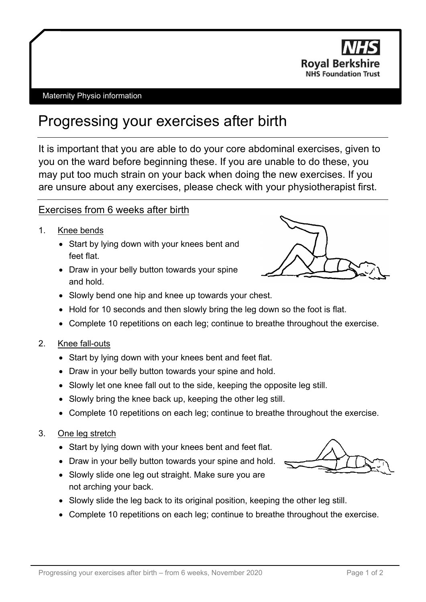

#### Maternity Physio information

# Progressing your exercises after birth

It is important that you are able to do your core abdominal exercises, given to you on the ward before beginning these. If you are unable to do these, you may put too much strain on your back when doing the new exercises. If you are unsure about any exercises, please check with your physiotherapist first.

## Exercises from 6 weeks after birth

- 1. Knee bends
	- Start by lying down with your knees bent and feet flat.
	- Draw in your belly button towards your spine and hold.



- Slowly bend one hip and knee up towards your chest.
- Hold for 10 seconds and then slowly bring the leg down so the foot is flat.
- Complete 10 repetitions on each leg; continue to breathe throughout the exercise.
- 2. Knee fall-outs
	- Start by lying down with your knees bent and feet flat.
	- Draw in your belly button towards your spine and hold.
	- Slowly let one knee fall out to the side, keeping the opposite leg still.
	- Slowly bring the knee back up, keeping the other leg still.
	- Complete 10 repetitions on each leg; continue to breathe throughout the exercise.
- 3. One leg stretch
	- Start by lying down with your knees bent and feet flat.
	- Draw in your belly button towards your spine and hold.
	- Slowly slide one leg out straight. Make sure you are not arching your back.
	- Slowly slide the leg back to its original position, keeping the other leg still.
	- Complete 10 repetitions on each leg; continue to breathe throughout the exercise.